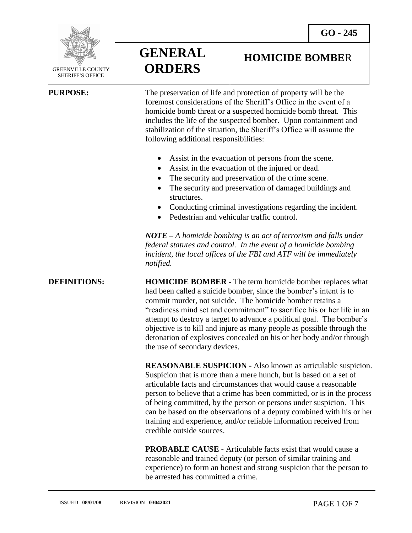

 GREENVILLE COUNTY SHERIFF'S OFFICE

 $\overline{a}$ 

**GENERAL ORDERS**

**HOMICIDE BOMBE**R

**PURPOSE:** The preservation of life and protection of property will be the foremost considerations of the Sheriff's Office in the event of a homicide bomb threat or a suspected homicide bomb threat. This includes the life of the suspected bomber. Upon containment and stabilization of the situation, the Sheriff's Office will assume the following additional responsibilities:

- Assist in the evacuation of persons from the scene.
- Assist in the evacuation of the injured or dead.
- The security and preservation of the crime scene.
- The security and preservation of damaged buildings and structures.
- Conducting criminal investigations regarding the incident.
- Pedestrian and vehicular traffic control.

*NOTE – A homicide bombing is an act of terrorism and falls under federal statutes and control. In the event of a homicide bombing incident, the local offices of the FBI and ATF will be immediately notified.*

**DEFINITIONS: HOMICIDE BOMBER** - The term homicide bomber replaces what had been called a suicide bomber, since the bomber's intent is to commit murder, not suicide. The homicide bomber retains a "readiness mind set and commitment" to sacrifice his or her life in an attempt to destroy a target to advance a political goal. The bomber's objective is to kill and injure as many people as possible through the detonation of explosives concealed on his or her body and/or through the use of secondary devices.

> **REASONABLE SUSPICION -** Also known as articulable suspicion. Suspicion that is more than a mere hunch, but is based on a set of articulable facts and circumstances that would cause a reasonable person to believe that a crime has been committed, or is in the process of being committed, by the person or persons under suspicion. This can be based on the observations of a deputy combined with his or her training and experience, and/or reliable information received from credible outside sources.

**PROBABLE CAUSE -** Articulable facts exist that would cause a reasonable and trained deputy (or person of similar training and experience) to form an honest and strong suspicion that the person to be arrested has committed a crime.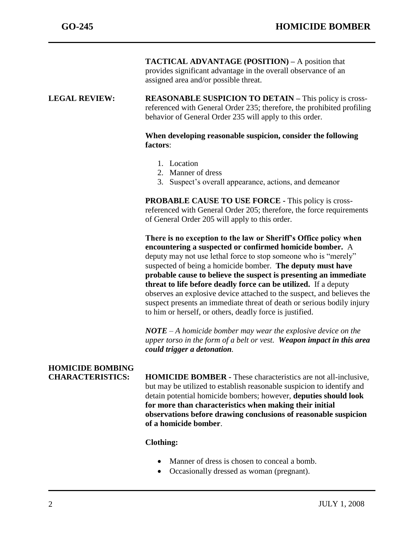**TACTICAL ADVANTAGE (POSITION) –** A position that provides significant advantage in the overall observance of an assigned area and/or possible threat.

#### **LEGAL REVIEW: REASONABLE SUSPICION TO DETAIN –** This policy is crossreferenced with General Order 235; therefore, the prohibited profiling behavior of General Order 235 will apply to this order.

### **When developing reasonable suspicion, consider the following factors**:

- 1. Location
- 2. Manner of dress
- 3. Suspect's overall appearance, actions, and demeanor

**PROBABLE CAUSE TO USE FORCE -** This policy is crossreferenced with General Order 205; therefore, the force requirements of General Order 205 will apply to this order.

**There is no exception to the law or Sheriff's Office policy when encountering a suspected or confirmed homicide bomber.** A deputy may not use lethal force to stop someone who is "merely" suspected of being a homicide bomber. **The deputy must have probable cause to believe the suspect is presenting an immediate threat to life before deadly force can be utilized.** If a deputy observes an explosive device attached to the suspect, and believes the suspect presents an immediate threat of death or serious bodily injury to him or herself, or others, deadly force is justified.

*NOTE* – *A homicide bomber may wear the explosive device on the upper torso in the form of a belt or vest. Weapon impact in this area could trigger a detonation.*

# **HOMICIDE BOMBING**

**CHARACTERISTICS: HOMICIDE BOMBER -** These characteristics are not all-inclusive, but may be utilized to establish reasonable suspicion to identify and detain potential homicide bombers; however, **deputies should look for more than characteristics when making their initial observations before drawing conclusions of reasonable suspicion of a homicide bomber**.

# **Clothing:**

- Manner of dress is chosen to conceal a bomb.
- Occasionally dressed as woman (pregnant).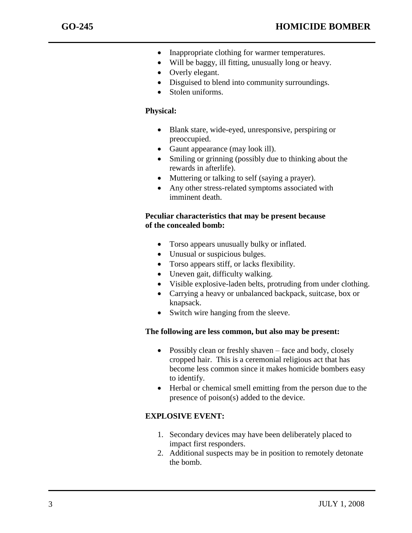- Inappropriate clothing for warmer temperatures.
- Will be baggy, ill fitting, unusually long or heavy.
- Overly elegant.
- Disguised to blend into community surroundings.
- Stolen uniforms.

# **Physical:**

- Blank stare, wide-eyed, unresponsive, perspiring or preoccupied.
- Gaunt appearance (may look ill).
- Smiling or grinning (possibly due to thinking about the rewards in afterlife).
- Muttering or talking to self (saying a prayer).
- Any other stress-related symptoms associated with imminent death.

# **Peculiar characteristics that may be present because of the concealed bomb:**

- Torso appears unusually bulky or inflated.
- Unusual or suspicious bulges.
- Torso appears stiff, or lacks flexibility.
- Uneven gait, difficulty walking.
- Visible explosive-laden belts, protruding from under clothing.
- Carrying a heavy or unbalanced backpack, suitcase, box or knapsack.
- Switch wire hanging from the sleeve.

# **The following are less common, but also may be present:**

- Possibly clean or freshly shaven face and body, closely cropped hair. This is a ceremonial religious act that has become less common since it makes homicide bombers easy to identify.
- Herbal or chemical smell emitting from the person due to the presence of poison(s) added to the device.

# **EXPLOSIVE EVENT:**

- 1. Secondary devices may have been deliberately placed to impact first responders.
- 2. Additional suspects may be in position to remotely detonate the bomb.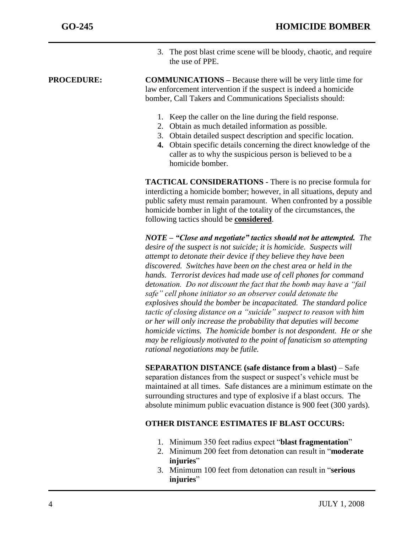3. The post blast crime scene will be bloody, chaotic, and require the use of PPE.

**PROCEDURE: COMMUNICATIONS** – Because there will be very little time for law enforcement intervention if the suspect is indeed a homicide bomber, Call Takers and Communications Specialists should:

- 1. Keep the caller on the line during the field response.
- 2. Obtain as much detailed information as possible.
- 3. Obtain detailed suspect description and specific location.
- **4.** Obtain specific details concerning the direct knowledge of the caller as to why the suspicious person is believed to be a homicide bomber.

**TACTICAL CONSIDERATIONS -** There is no precise formula for interdicting a homicide bomber; however, in all situations, deputy and public safety must remain paramount. When confronted by a possible homicide bomber in light of the totality of the circumstances, the following tactics should be **considered**.

*NOTE – "Close and negotiate" tactics should not be attempted. The desire of the suspect is not suicide; it is homicide. Suspects will attempt to detonate their device if they believe they have been discovered. Switches have been on the chest area or held in the hands. Terrorist devices had made use of cell phones for command detonation. Do not discount the fact that the bomb may have a "fail safe" cell phone initiator so an observer could detonate the explosives should the bomber be incapacitated. The standard police tactic of closing distance on a "suicide" suspect to reason with him or her will only increase the probability that deputies will become homicide victims. The homicide bomber is not despondent. He or she may be religiously motivated to the point of fanaticism so attempting rational negotiations may be futile.*

**SEPARATION DISTANCE (safe distance from a blast)** – Safe separation distances from the suspect or suspect's vehicle must be maintained at all times. Safe distances are a minimum estimate on the surrounding structures and type of explosive if a blast occurs. The absolute minimum public evacuation distance is 900 feet (300 yards).

# **OTHER DISTANCE ESTIMATES IF BLAST OCCURS:**

- 1. Minimum 350 feet radius expect "**blast fragmentation**"
- 2. Minimum 200 feet from detonation can result in "**moderate**  injuries"
- 3. Minimum 100 feet from detonation can result in "**serious injuries**"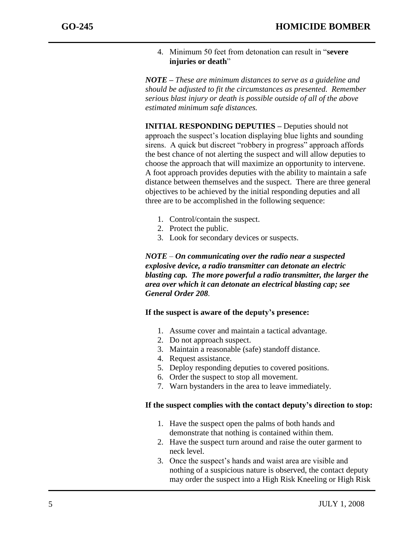4. Minimum 50 feet from detonation can result in "**severe injuries or death**"

*NOTE – These are minimum distances to serve as a guideline and should be adjusted to fit the circumstances as presented. Remember serious blast injury or death is possible outside of all of the above estimated minimum safe distances.* 

**INITIAL RESPONDING DEPUTIES –** Deputies should not approach the suspect's location displaying blue lights and sounding sirens. A quick but discreet "robbery in progress" approach affords the best chance of not alerting the suspect and will allow deputies to choose the approach that will maximize an opportunity to intervene. A foot approach provides deputies with the ability to maintain a safe distance between themselves and the suspect. There are three general objectives to be achieved by the initial responding deputies and all three are to be accomplished in the following sequence:

- 1. Control/contain the suspect.
- 2. Protect the public.
- 3. Look for secondary devices or suspects.

*NOTE – On communicating over the radio near a suspected explosive device, a radio transmitter can detonate an electric blasting cap. The more powerful a radio transmitter, the larger the area over which it can detonate an electrical blasting cap; see General Order 208.*

# **If the suspect is aware of the deputy's presence:**

- 1. Assume cover and maintain a tactical advantage.
- 2. Do not approach suspect.
- 3. Maintain a reasonable (safe) standoff distance.
- 4. Request assistance.
- 5. Deploy responding deputies to covered positions.
- 6. Order the suspect to stop all movement.
- 7. Warn bystanders in the area to leave immediately.

#### **If the suspect complies with the contact deputy's direction to stop:**

- 1. Have the suspect open the palms of both hands and demonstrate that nothing is contained within them.
- 2. Have the suspect turn around and raise the outer garment to neck level.
- 3. Once the suspect's hands and waist area are visible and nothing of a suspicious nature is observed, the contact deputy may order the suspect into a High Risk Kneeling or High Risk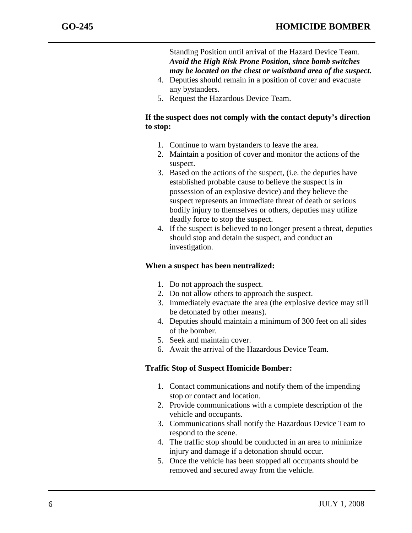Standing Position until arrival of the Hazard Device Team. *Avoid the High Risk Prone Position, since bomb switches may be located on the chest or waistband area of the suspect.*

- 4. Deputies should remain in a position of cover and evacuate any bystanders.
- 5. Request the Hazardous Device Team.

# **If the suspect does not comply with the contact deputy's direction to stop:**

- 1. Continue to warn bystanders to leave the area.
- 2. Maintain a position of cover and monitor the actions of the suspect.
- 3. Based on the actions of the suspect, (i.e. the deputies have established probable cause to believe the suspect is in possession of an explosive device) and they believe the suspect represents an immediate threat of death or serious bodily injury to themselves or others, deputies may utilize deadly force to stop the suspect.
- 4. If the suspect is believed to no longer present a threat, deputies should stop and detain the suspect, and conduct an investigation.

# **When a suspect has been neutralized:**

- 1. Do not approach the suspect.
- 2. Do not allow others to approach the suspect.
- 3. Immediately evacuate the area (the explosive device may still be detonated by other means).
- 4. Deputies should maintain a minimum of 300 feet on all sides of the bomber.
- 5. Seek and maintain cover.
- 6. Await the arrival of the Hazardous Device Team.

# **Traffic Stop of Suspect Homicide Bomber:**

- 1. Contact communications and notify them of the impending stop or contact and location.
- 2. Provide communications with a complete description of the vehicle and occupants.
- 3. Communications shall notify the Hazardous Device Team to respond to the scene.
- 4. The traffic stop should be conducted in an area to minimize injury and damage if a detonation should occur.
- 5. Once the vehicle has been stopped all occupants should be removed and secured away from the vehicle.